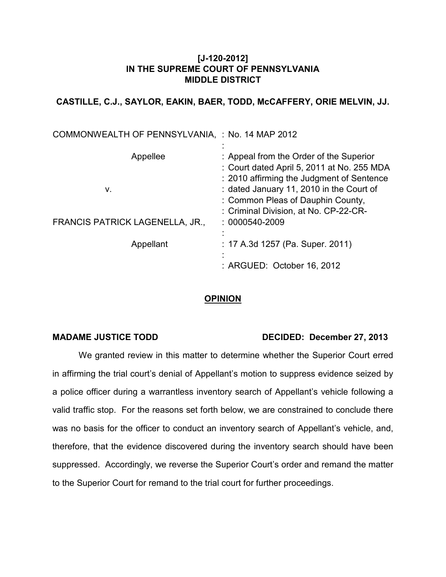# **[J-120-2012] IN THE SUPREME COURT OF PENNSYLVANIA MIDDLE DISTRICT**

# **CASTILLE, C.J., SAYLOR, EAKIN, BAER, TODD, McCAFFERY, ORIE MELVIN, JJ.**

| COMMONWEALTH OF PENNSYLVANIA, : No. 14 MAP 2012 |                                                                                                                                    |
|-------------------------------------------------|------------------------------------------------------------------------------------------------------------------------------------|
| Appellee                                        | : Appeal from the Order of the Superior<br>: Court dated April 5, 2011 at No. 255 MDA<br>: 2010 affirming the Judgment of Sentence |
| ν.                                              | : dated January 11, 2010 in the Court of                                                                                           |
|                                                 | : Common Pleas of Dauphin County,                                                                                                  |
| FRANCIS PATRICK LAGENELLA, JR.,                 | : Criminal Division, at No. CP-22-CR-<br>$: 0000540 - 2009$                                                                        |
|                                                 |                                                                                                                                    |
| Appellant                                       | : 17 A.3d 1257 (Pa. Super. 2011)                                                                                                   |
|                                                 | : ARGUED: October 16, 2012                                                                                                         |

# **OPINION**

#### MADAME JUSTICE TODD DECIDED: December 27, 2013

 We granted review in this matter to determine whether the Superior Court erred in affirming the trial court's denial of Appellant's motion to suppress evidence seized by a police officer during a warrantless inventory search of Appellant's vehicle following a valid traffic stop. For the reasons set forth below, we are constrained to conclude there was no basis for the officer to conduct an inventory search of Appellant's vehicle, and, therefore, that the evidence discovered during the inventory search should have been suppressed. Accordingly, we reverse the Superior Court's order and remand the matter to the Superior Court for remand to the trial court for further proceedings.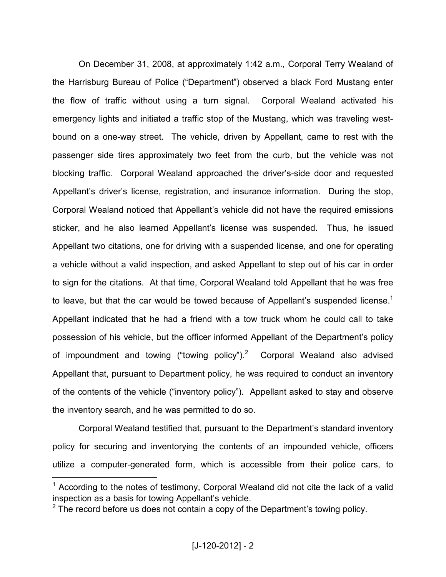On December 31, 2008, at approximately 1:42 a.m., Corporal Terry Wealand of the Harrisburg Bureau of Police ("Department") observed a black Ford Mustang enter the flow of traffic without using a turn signal. Corporal Wealand activated his emergency lights and initiated a traffic stop of the Mustang, which was traveling westbound on a one-way street. The vehicle, driven by Appellant, came to rest with the passenger side tires approximately two feet from the curb, but the vehicle was not blocking traffic. Corporal Wealand approached the driver's-side door and requested Appellant's driver's license, registration, and insurance information. During the stop, Corporal Wealand noticed that Appellant's vehicle did not have the required emissions sticker, and he also learned Appellant's license was suspended. Thus, he issued Appellant two citations, one for driving with a suspended license, and one for operating a vehicle without a valid inspection, and asked Appellant to step out of his car in order to sign for the citations. At that time, Corporal Wealand told Appellant that he was free to leave, but that the car would be towed because of Appellant's suspended license.<sup>1</sup> Appellant indicated that he had a friend with a tow truck whom he could call to take possession of his vehicle, but the officer informed Appellant of the Department's policy of impoundment and towing ("towing policy"). $^2$  Corporal Wealand also advised Appellant that, pursuant to Department policy, he was required to conduct an inventory of the contents of the vehicle ("inventory policy"). Appellant asked to stay and observe the inventory search, and he was permitted to do so.

Corporal Wealand testified that, pursuant to the Department's standard inventory policy for securing and inventorying the contents of an impounded vehicle, officers utilize a computer-generated form, which is accessible from their police cars, to

-

 $1$  According to the notes of testimony, Corporal Wealand did not cite the lack of a valid inspection as a basis for towing Appellant's vehicle.

 $2$  The record before us does not contain a copy of the Department's towing policy.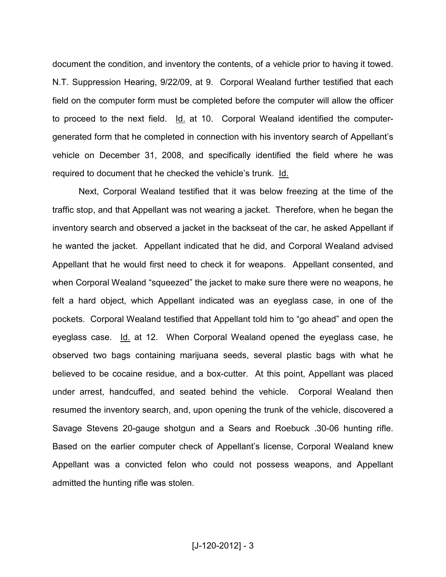document the condition, and inventory the contents, of a vehicle prior to having it towed. N.T. Suppression Hearing, 9/22/09, at 9. Corporal Wealand further testified that each field on the computer form must be completed before the computer will allow the officer to proceed to the next field. Id. at 10. Corporal Wealand identified the computergenerated form that he completed in connection with his inventory search of Appellant's vehicle on December 31, 2008, and specifically identified the field where he was required to document that he checked the vehicle's trunk. Id.

Next, Corporal Wealand testified that it was below freezing at the time of the traffic stop, and that Appellant was not wearing a jacket. Therefore, when he began the inventory search and observed a jacket in the backseat of the car, he asked Appellant if he wanted the jacket. Appellant indicated that he did, and Corporal Wealand advised Appellant that he would first need to check it for weapons. Appellant consented, and when Corporal Wealand "squeezed" the jacket to make sure there were no weapons, he felt a hard object, which Appellant indicated was an eyeglass case, in one of the pockets. Corporal Wealand testified that Appellant told him to "go ahead" and open the eyeglass case. Id. at 12. When Corporal Wealand opened the eyeglass case, he observed two bags containing marijuana seeds, several plastic bags with what he believed to be cocaine residue, and a box-cutter. At this point, Appellant was placed under arrest, handcuffed, and seated behind the vehicle. Corporal Wealand then resumed the inventory search, and, upon opening the trunk of the vehicle, discovered a Savage Stevens 20-gauge shotgun and a Sears and Roebuck .30-06 hunting rifle. Based on the earlier computer check of Appellant's license, Corporal Wealand knew Appellant was a convicted felon who could not possess weapons, and Appellant admitted the hunting rifle was stolen.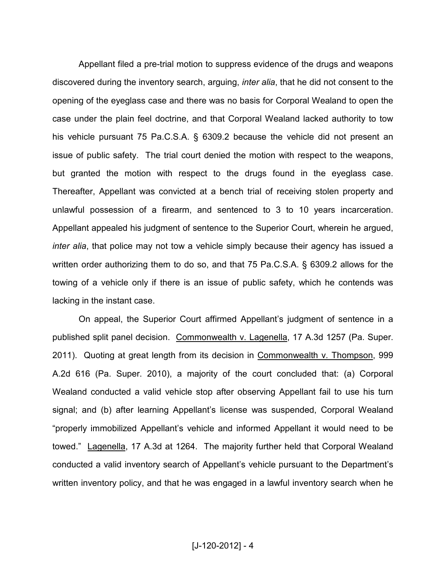Appellant filed a pre-trial motion to suppress evidence of the drugs and weapons discovered during the inventory search, arguing, *inter alia*, that he did not consent to the opening of the eyeglass case and there was no basis for Corporal Wealand to open the case under the plain feel doctrine, and that Corporal Wealand lacked authority to tow his vehicle pursuant 75 Pa.C.S.A. § 6309.2 because the vehicle did not present an issue of public safety. The trial court denied the motion with respect to the weapons, but granted the motion with respect to the drugs found in the eyeglass case. Thereafter, Appellant was convicted at a bench trial of receiving stolen property and unlawful possession of a firearm, and sentenced to 3 to 10 years incarceration. Appellant appealed his judgment of sentence to the Superior Court, wherein he argued, *inter alia*, that police may not tow a vehicle simply because their agency has issued a written order authorizing them to do so, and that 75 Pa.C.S.A. § 6309.2 allows for the towing of a vehicle only if there is an issue of public safety, which he contends was lacking in the instant case.

On appeal, the Superior Court affirmed Appellant's judgment of sentence in a published split panel decision. Commonwealth v. Lagenella, 17 A.3d 1257 (Pa. Super. 2011). Quoting at great length from its decision in Commonwealth v. Thompson, 999 A.2d 616 (Pa. Super. 2010), a majority of the court concluded that: (a) Corporal Wealand conducted a valid vehicle stop after observing Appellant fail to use his turn signal; and (b) after learning Appellant's license was suspended, Corporal Wealand "properly immobilized Appellant's vehicle and informed Appellant it would need to be towed." Lagenella, 17 A.3d at 1264. The majority further held that Corporal Wealand conducted a valid inventory search of Appellant's vehicle pursuant to the Department's written inventory policy, and that he was engaged in a lawful inventory search when he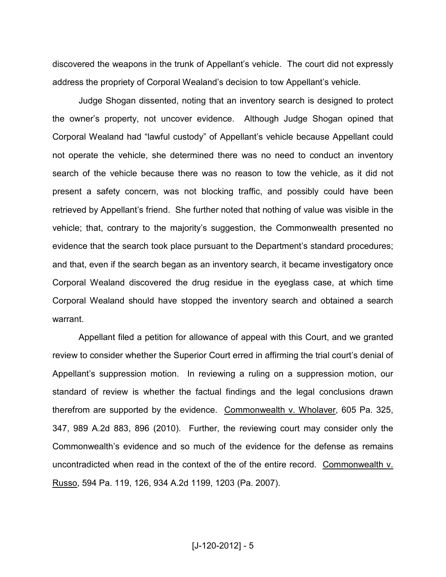discovered the weapons in the trunk of Appellant's vehicle. The court did not expressly address the propriety of Corporal Wealand's decision to tow Appellant's vehicle.

 Judge Shogan dissented, noting that an inventory search is designed to protect the owner's property, not uncover evidence. Although Judge Shogan opined that Corporal Wealand had "lawful custody" of Appellant's vehicle because Appellant could not operate the vehicle, she determined there was no need to conduct an inventory search of the vehicle because there was no reason to tow the vehicle, as it did not present a safety concern, was not blocking traffic, and possibly could have been retrieved by Appellant's friend. She further noted that nothing of value was visible in the vehicle; that, contrary to the majority's suggestion, the Commonwealth presented no evidence that the search took place pursuant to the Department's standard procedures; and that, even if the search began as an inventory search, it became investigatory once Corporal Wealand discovered the drug residue in the eyeglass case, at which time Corporal Wealand should have stopped the inventory search and obtained a search warrant.

Appellant filed a petition for allowance of appeal with this Court, and we granted review to consider whether the Superior Court erred in affirming the trial court's denial of Appellant's suppression motion. In reviewing a ruling on a suppression motion, our standard of review is whether the factual findings and the legal conclusions drawn therefrom are supported by the evidence. Commonwealth v. Wholaver, 605 Pa. 325, 347, 989 A.2d 883, 896 (2010). Further, the reviewing court may consider only the Commonwealth's evidence and so much of the evidence for the defense as remains uncontradicted when read in the context of the of the entire record. Commonwealth v. Russo, 594 Pa. 119, 126, 934 A.2d 1199, 1203 (Pa. 2007).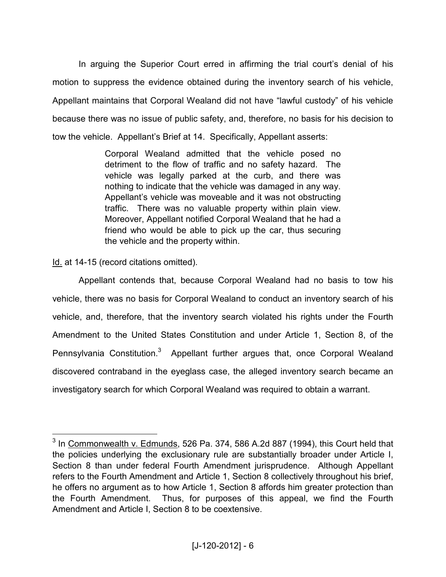In arguing the Superior Court erred in affirming the trial court's denial of his motion to suppress the evidence obtained during the inventory search of his vehicle, Appellant maintains that Corporal Wealand did not have "lawful custody" of his vehicle because there was no issue of public safety, and, therefore, no basis for his decision to tow the vehicle. Appellant's Brief at 14. Specifically, Appellant asserts:

> Corporal Wealand admitted that the vehicle posed no detriment to the flow of traffic and no safety hazard. The vehicle was legally parked at the curb, and there was nothing to indicate that the vehicle was damaged in any way. Appellant's vehicle was moveable and it was not obstructing traffic. There was no valuable property within plain view. Moreover, Appellant notified Corporal Wealand that he had a friend who would be able to pick up the car, thus securing the vehicle and the property within.

Id. at 14-15 (record citations omitted).

 $\overline{a}$ 

Appellant contends that, because Corporal Wealand had no basis to tow his vehicle, there was no basis for Corporal Wealand to conduct an inventory search of his vehicle, and, therefore, that the inventory search violated his rights under the Fourth Amendment to the United States Constitution and under Article 1, Section 8, of the Pennsylvania Constitution.<sup>3</sup> Appellant further argues that, once Corporal Wealand discovered contraband in the eyeglass case, the alleged inventory search became an investigatory search for which Corporal Wealand was required to obtain a warrant.

 $^3$  In Commonwealth v. Edmunds, 526 Pa. 374, 586 A.2d 887 (1994), this Court held that the policies underlying the exclusionary rule are substantially broader under Article I, Section 8 than under federal Fourth Amendment jurisprudence. Although Appellant refers to the Fourth Amendment and Article 1, Section 8 collectively throughout his brief, he offers no argument as to how Article 1, Section 8 affords him greater protection than the Fourth Amendment. Thus, for purposes of this appeal, we find the Fourth Amendment and Article I, Section 8 to be coextensive.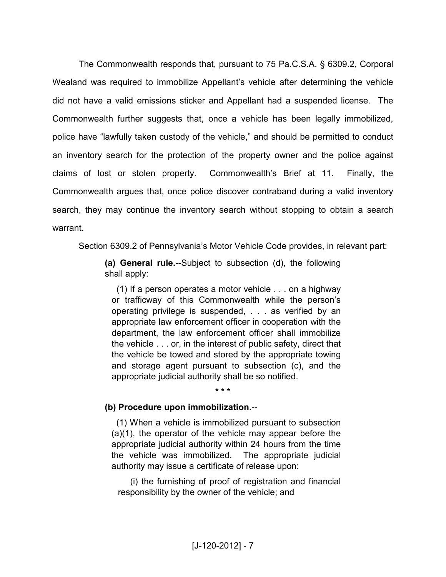The Commonwealth responds that, pursuant to 75 Pa.C.S.A. § 6309.2, Corporal Wealand was required to immobilize Appellant's vehicle after determining the vehicle did not have a valid emissions sticker and Appellant had a suspended license. The Commonwealth further suggests that, once a vehicle has been legally immobilized, police have "lawfully taken custody of the vehicle," and should be permitted to conduct an inventory search for the protection of the property owner and the police against claims of lost or stolen property. Commonwealth's Brief at 11. Finally, the Commonwealth argues that, once police discover contraband during a valid inventory search, they may continue the inventory search without stopping to obtain a search warrant.

Section 6309.2 of Pennsylvania's Motor Vehicle Code provides, in relevant part:

**(a) General rule.**--Subject to subsection (d), the following shall apply:

 (1) If a person operates a motor vehicle . . . on a highway or trafficway of this Commonwealth while the person's operating privilege is suspended, . . . as verified by an appropriate law enforcement officer in cooperation with the department, the law enforcement officer shall immobilize the vehicle . . . or, in the interest of public safety, direct that the vehicle be towed and stored by the appropriate towing and storage agent pursuant to subsection (c), and the appropriate judicial authority shall be so notified.

# **(b) Procedure upon immobilization.**--

 (1) When a vehicle is immobilized pursuant to subsection (a)(1), the operator of the vehicle may appear before the appropriate judicial authority within 24 hours from the time the vehicle was immobilized. The appropriate judicial authority may issue a certificate of release upon:

**\* \* \*** 

 (i) the furnishing of proof of registration and financial responsibility by the owner of the vehicle; and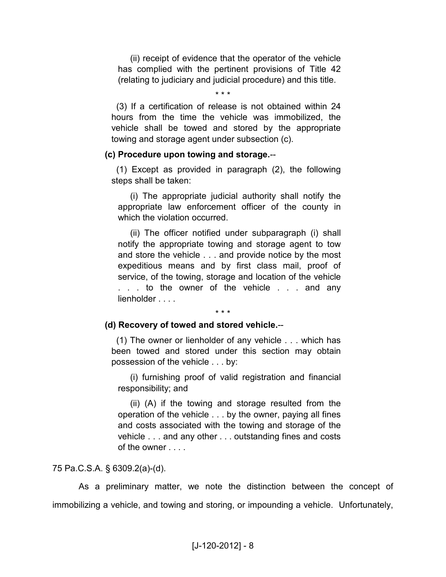(ii) receipt of evidence that the operator of the vehicle has complied with the pertinent provisions of Title 42 (relating to judiciary and judicial procedure) and this title.

\* \* \*

 (3) If a certification of release is not obtained within 24 hours from the time the vehicle was immobilized, the vehicle shall be towed and stored by the appropriate towing and storage agent under subsection (c).

# **(c) Procedure upon towing and storage.**--

 (1) Except as provided in paragraph (2), the following steps shall be taken:

 (i) The appropriate judicial authority shall notify the appropriate law enforcement officer of the county in which the violation occurred.

 (ii) The officer notified under subparagraph (i) shall notify the appropriate towing and storage agent to tow and store the vehicle . . . and provide notice by the most expeditious means and by first class mail, proof of service, of the towing, storage and location of the vehicle . . . to the owner of the vehicle . . . and any lienholder . . . .

#### \* \* \*

# **(d) Recovery of towed and stored vehicle.**--

 (1) The owner or lienholder of any vehicle . . . which has been towed and stored under this section may obtain possession of the vehicle . . . by:

 (i) furnishing proof of valid registration and financial responsibility; and

 (ii) (A) if the towing and storage resulted from the operation of the vehicle . . . by the owner, paying all fines and costs associated with the towing and storage of the vehicle . . . and any other . . . outstanding fines and costs of the owner . . . .

# 75 Pa.C.S.A. § 6309.2(a)-(d).

As a preliminary matter, we note the distinction between the concept of immobilizing a vehicle, and towing and storing, or impounding a vehicle. Unfortunately,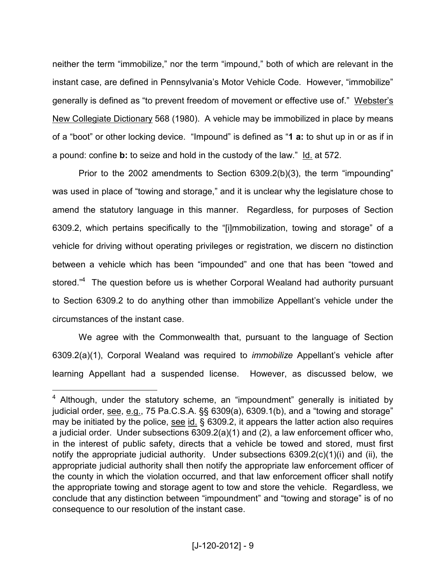neither the term "immobilize," nor the term "impound," both of which are relevant in the instant case, are defined in Pennsylvania's Motor Vehicle Code. However, "immobilize" generally is defined as "to prevent freedom of movement or effective use of." Webster's New Collegiate Dictionary 568 (1980). A vehicle may be immobilized in place by means of a "boot" or other locking device. "Impound" is defined as "**1 a:** to shut up in or as if in a pound: confine **b:** to seize and hold in the custody of the law." Id. at 572.

Prior to the 2002 amendments to Section 6309.2(b)(3), the term "impounding" was used in place of "towing and storage," and it is unclear why the legislature chose to amend the statutory language in this manner. Regardless, for purposes of Section 6309.2, which pertains specifically to the "[i]mmobilization, towing and storage" of a vehicle for driving without operating privileges or registration, we discern no distinction between a vehicle which has been "impounded" and one that has been "towed and stored."<sup>4</sup> The question before us is whether Corporal Wealand had authority pursuant to Section 6309.2 to do anything other than immobilize Appellant's vehicle under the circumstances of the instant case.

We agree with the Commonwealth that, pursuant to the language of Section 6309.2(a)(1), Corporal Wealand was required to *immobilize* Appellant's vehicle after learning Appellant had a suspended license. However, as discussed below, we

<sup>&</sup>lt;sup>4</sup> Although, under the statutory scheme, an "impoundment" generally is initiated by judicial order, see, e.g., 75 Pa.C.S.A. §§ 6309(a), 6309.1(b), and a "towing and storage" may be initiated by the police, see id. § 6309.2, it appears the latter action also requires a judicial order. Under subsections 6309.2(a)(1) and (2), a law enforcement officer who, in the interest of public safety, directs that a vehicle be towed and stored, must first notify the appropriate judicial authority. Under subsections 6309.2(c)(1)(i) and (ii), the appropriate judicial authority shall then notify the appropriate law enforcement officer of the county in which the violation occurred, and that law enforcement officer shall notify the appropriate towing and storage agent to tow and store the vehicle. Regardless, we conclude that any distinction between "impoundment" and "towing and storage" is of no consequence to our resolution of the instant case.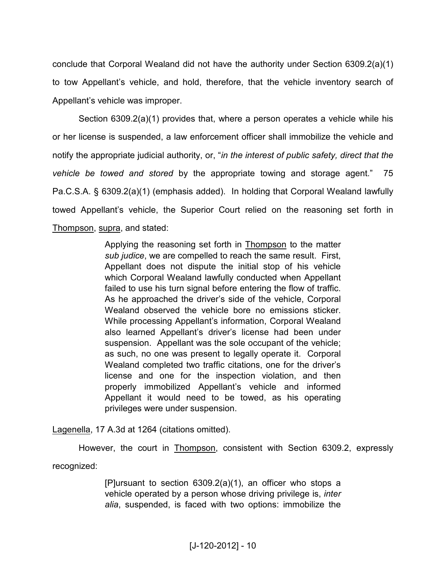conclude that Corporal Wealand did not have the authority under Section 6309.2(a)(1) to tow Appellant's vehicle, and hold, therefore, that the vehicle inventory search of Appellant's vehicle was improper.

Section 6309.2(a)(1) provides that, where a person operates a vehicle while his or her license is suspended, a law enforcement officer shall immobilize the vehicle and notify the appropriate judicial authority, or, "*in the interest of public safety, direct that the vehicle be towed and stored* by the appropriate towing and storage agent." 75 Pa.C.S.A. § 6309.2(a)(1) (emphasis added). In holding that Corporal Wealand lawfully towed Appellant's vehicle, the Superior Court relied on the reasoning set forth in Thompson, supra, and stated:

> Applying the reasoning set forth in Thompson to the matter *sub judice*, we are compelled to reach the same result. First, Appellant does not dispute the initial stop of his vehicle which Corporal Wealand lawfully conducted when Appellant failed to use his turn signal before entering the flow of traffic. As he approached the driver's side of the vehicle, Corporal Wealand observed the vehicle bore no emissions sticker. While processing Appellant's information, Corporal Wealand also learned Appellant's driver's license had been under suspension. Appellant was the sole occupant of the vehicle; as such, no one was present to legally operate it. Corporal Wealand completed two traffic citations, one for the driver's license and one for the inspection violation, and then properly immobilized Appellant's vehicle and informed Appellant it would need to be towed, as his operating privileges were under suspension.

Lagenella, 17 A.3d at 1264 (citations omitted).

However, the court in Thompson, consistent with Section 6309.2, expressly

recognized:

[P]ursuant to section 6309.2(a)(1), an officer who stops a vehicle operated by a person whose driving privilege is, *inter alia*, suspended, is faced with two options: immobilize the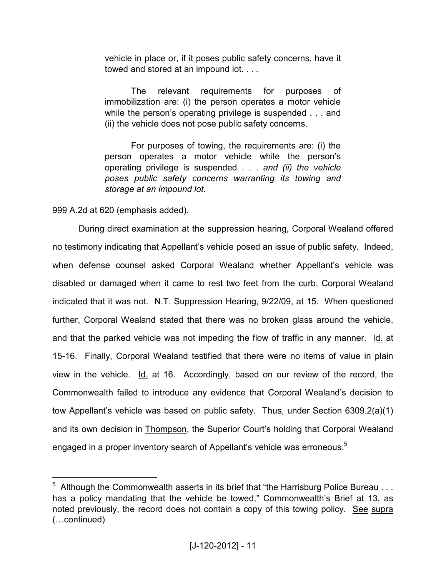vehicle in place or, if it poses public safety concerns, have it towed and stored at an impound lot. . . .

The relevant requirements for purposes of immobilization are: (i) the person operates a motor vehicle while the person's operating privilege is suspended . . . and (ii) the vehicle does not pose public safety concerns.

For purposes of towing, the requirements are: (i) the person operates a motor vehicle while the person's operating privilege is suspended . . . *and (ii) the vehicle poses public safety concerns warranting its towing and storage at an impound lot.*

999 A.2d at 620 (emphasis added).

-

During direct examination at the suppression hearing, Corporal Wealand offered no testimony indicating that Appellant's vehicle posed an issue of public safety. Indeed, when defense counsel asked Corporal Wealand whether Appellant's vehicle was disabled or damaged when it came to rest two feet from the curb, Corporal Wealand indicated that it was not. N.T. Suppression Hearing, 9/22/09, at 15. When questioned further, Corporal Wealand stated that there was no broken glass around the vehicle, and that the parked vehicle was not impeding the flow of traffic in any manner. Id. at 15-16. Finally, Corporal Wealand testified that there were no items of value in plain view in the vehicle. Id. at 16. Accordingly, based on our review of the record, the Commonwealth failed to introduce any evidence that Corporal Wealand's decision to tow Appellant's vehicle was based on public safety. Thus, under Section 6309.2(a)(1) and its own decision in Thompson, the Superior Court's holding that Corporal Wealand engaged in a proper inventory search of Appellant's vehicle was erroneous.<sup>5</sup>

 $^5$  Although the Commonwealth asserts in its brief that "the Harrisburg Police Bureau  $\ldots$ has a policy mandating that the vehicle be towed," Commonwealth's Brief at 13, as noted previously, the record does not contain a copy of this towing policy. See supra (...continued)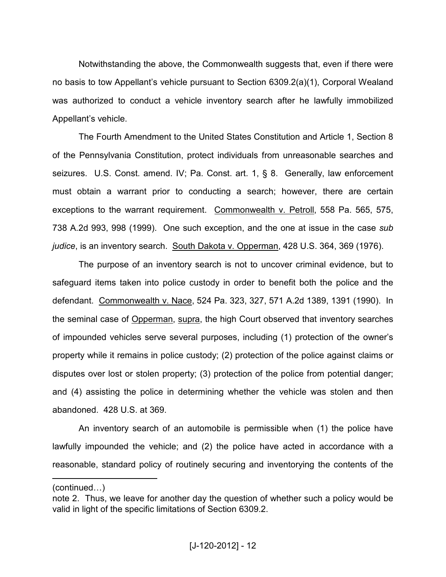Notwithstanding the above, the Commonwealth suggests that, even if there were no basis to tow Appellant's vehicle pursuant to Section 6309.2(a)(1), Corporal Wealand was authorized to conduct a vehicle inventory search after he lawfully immobilized Appellant's vehicle.

The Fourth Amendment to the United States Constitution and Article 1, Section 8 of the Pennsylvania Constitution, protect individuals from unreasonable searches and seizures. U.S. Const. amend. IV; Pa. Const. art. 1, § 8. Generally, law enforcement must obtain a warrant prior to conducting a search; however, there are certain exceptions to the warrant requirement. Commonwealth v. Petroll, 558 Pa. 565, 575, 738 A.2d 993, 998 (1999). One such exception, and the one at issue in the case *sub judice*, is an inventory search. South Dakota v. Opperman, 428 U.S. 364, 369 (1976).

 The purpose of an inventory search is not to uncover criminal evidence, but to safeguard items taken into police custody in order to benefit both the police and the defendant. Commonwealth v. Nace, 524 Pa. 323, 327, 571 A.2d 1389, 1391 (1990). In the seminal case of Opperman, supra, the high Court observed that inventory searches of impounded vehicles serve several purposes, including (1) protection of the owner's property while it remains in police custody; (2) protection of the police against claims or disputes over lost or stolen property; (3) protection of the police from potential danger; and (4) assisting the police in determining whether the vehicle was stolen and then abandoned. 428 U.S. at 369.

An inventory search of an automobile is permissible when (1) the police have lawfully impounded the vehicle; and (2) the police have acted in accordance with a reasonable, standard policy of routinely securing and inventorying the contents of the

 $(continued...)$ 

note 2. Thus, we leave for another day the question of whether such a policy would be valid in light of the specific limitations of Section 6309.2.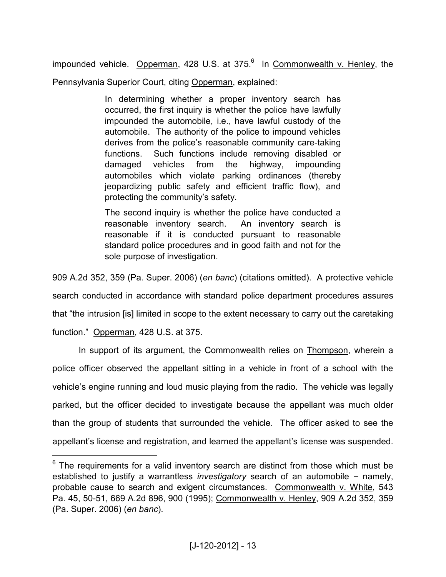impounded vehicle. Opperman, 428 U.S. at 375.<sup>6</sup> In Commonwealth v. Henley, the Pennsylvania Superior Court, citing Opperman, explained:

> In determining whether a proper inventory search has occurred, the first inquiry is whether the police have lawfully impounded the automobile, i.e., have lawful custody of the automobile. The authority of the police to impound vehicles derives from the police's reasonable community care-taking functions. Such functions include removing disabled or damaged vehicles from the highway, impounding automobiles which violate parking ordinances (thereby jeopardizing public safety and efficient traffic flow), and protecting the community's safety.

> The second inquiry is whether the police have conducted a reasonable inventory search. An inventory search is reasonable if it is conducted pursuant to reasonable standard police procedures and in good faith and not for the sole purpose of investigation.

909 A.2d 352, 359 (Pa. Super. 2006) (*en banc*) (citations omitted). A protective vehicle search conducted in accordance with standard police department procedures assures that "the intrusion [is] limited in scope to the extent necessary to carry out the caretaking function." Opperman, 428 U.S. at 375.

In support of its argument, the Commonwealth relies on Thompson, wherein a police officer observed the appellant sitting in a vehicle in front of a school with the vehicle's engine running and loud music playing from the radio. The vehicle was legally parked, but the officer decided to investigate because the appellant was much older than the group of students that surrounded the vehicle. The officer asked to see the appellant's license and registration, and learned the appellant's license was suspended.

 $6$  The requirements for a valid inventory search are distinct from those which must be established to justify a warrantless *investigatory* search of an automobile − namely, probable cause to search and exigent circumstances. Commonwealth v. White, 543 Pa. 45, 50-51, 669 A.2d 896, 900 (1995); Commonwealth v. Henley, 909 A.2d 352, 359 (Pa. Super. 2006) (*en banc*).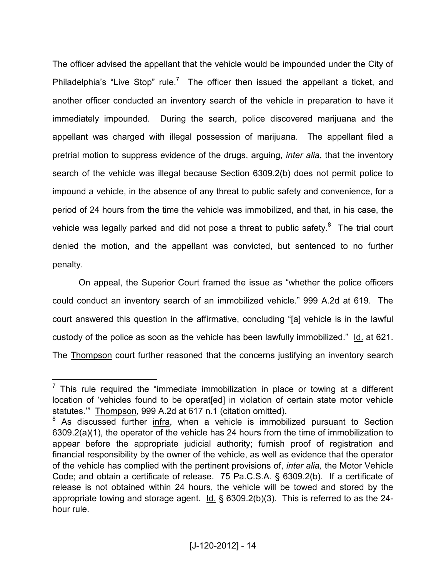The officer advised the appellant that the vehicle would be impounded under the City of Philadelphia's "Live Stop" rule.<sup>7</sup> The officer then issued the appellant a ticket, and another officer conducted an inventory search of the vehicle in preparation to have it immediately impounded. During the search, police discovered marijuana and the appellant was charged with illegal possession of marijuana. The appellant filed a pretrial motion to suppress evidence of the drugs, arguing, *inter alia*, that the inventory search of the vehicle was illegal because Section 6309.2(b) does not permit police to impound a vehicle, in the absence of any threat to public safety and convenience, for a period of 24 hours from the time the vehicle was immobilized, and that, in his case, the vehicle was legally parked and did not pose a threat to public safety.<sup>8</sup> The trial court denied the motion, and the appellant was convicted, but sentenced to no further penalty.

On appeal, the Superior Court framed the issue as "whether the police officers could conduct an inventory search of an immobilized vehicle." 999 A.2d at 619. The court answered this question in the affirmative, concluding "[a] vehicle is in the lawful custody of the police as soon as the vehicle has been lawfully immobilized." Id. at 621. The Thompson court further reasoned that the concerns justifying an inventory search

 $<sup>7</sup>$  This rule required the "immediate immobilization in place or towing at a different</sup> location of 'vehicles found to be operat[ed] in violation of certain state motor vehicle statutes.'" Thompson, 999 A.2d at 617 n.1 (citation omitted).

<sup>&</sup>lt;sup>8</sup> As discussed further *infra*, when a vehicle is immobilized pursuant to Section 6309.2(a)(1), the operator of the vehicle has 24 hours from the time of immobilization to appear before the appropriate judicial authority; furnish proof of registration and financial responsibility by the owner of the vehicle, as well as evidence that the operator of the vehicle has complied with the pertinent provisions of, *inter alia,* the Motor Vehicle Code; and obtain a certificate of release. 75 Pa.C.S.A. § 6309.2(b). If a certificate of release is not obtained within 24 hours, the vehicle will be towed and stored by the appropriate towing and storage agent.  $Id. \S$  6309.2(b)(3). This is referred to as the 24hour rule.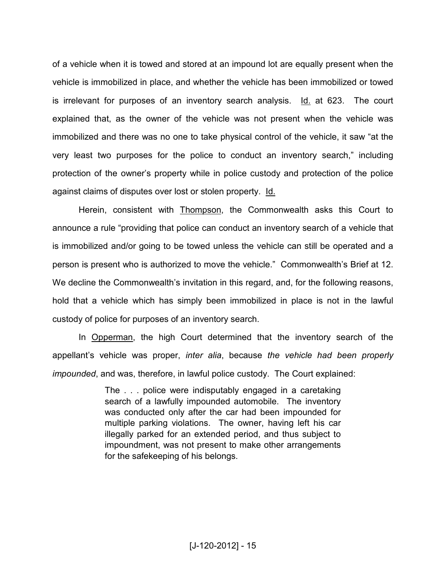of a vehicle when it is towed and stored at an impound lot are equally present when the vehicle is immobilized in place, and whether the vehicle has been immobilized or towed is irrelevant for purposes of an inventory search analysis. Id. at 623. The court explained that, as the owner of the vehicle was not present when the vehicle was immobilized and there was no one to take physical control of the vehicle, it saw "at the very least two purposes for the police to conduct an inventory search," including protection of the owner's property while in police custody and protection of the police against claims of disputes over lost or stolen property. Id.

Herein, consistent with Thompson, the Commonwealth asks this Court to announce a rule "providing that police can conduct an inventory search of a vehicle that is immobilized and/or going to be towed unless the vehicle can still be operated and a person is present who is authorized to move the vehicle." Commonwealth's Brief at 12. We decline the Commonwealth's invitation in this regard, and, for the following reasons, hold that a vehicle which has simply been immobilized in place is not in the lawful custody of police for purposes of an inventory search.

In Opperman, the high Court determined that the inventory search of the appellant's vehicle was proper, *inter alia*, because *the vehicle had been properly impounded*, and was, therefore, in lawful police custody. The Court explained:

> The . . . police were indisputably engaged in a caretaking search of a lawfully impounded automobile. The inventory was conducted only after the car had been impounded for multiple parking violations. The owner, having left his car illegally parked for an extended period, and thus subject to impoundment, was not present to make other arrangements for the safekeeping of his belongs.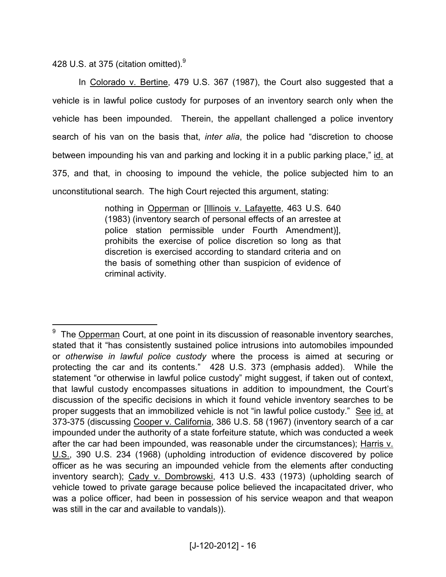428 U.S. at 375 (citation omitted).<sup>9</sup>

l

In Colorado v. Bertine, 479 U.S. 367 (1987), the Court also suggested that a vehicle is in lawful police custody for purposes of an inventory search only when the vehicle has been impounded. Therein, the appellant challenged a police inventory search of his van on the basis that, *inter alia*, the police had "discretion to choose between impounding his van and parking and locking it in a public parking place," id. at 375, and that, in choosing to impound the vehicle, the police subjected him to an unconstitutional search. The high Court rejected this argument, stating:

> nothing in Opperman or [Illinois v. Lafayette, 463 U.S. 640 (1983) (inventory search of personal effects of an arrestee at police station permissible under Fourth Amendment)], prohibits the exercise of police discretion so long as that discretion is exercised according to standard criteria and on the basis of something other than suspicion of evidence of criminal activity.

<sup>&</sup>lt;sup>9</sup> The Opperman Court, at one point in its discussion of reasonable inventory searches, stated that it "has consistently sustained police intrusions into automobiles impounded or *otherwise in lawful police custody* where the process is aimed at securing or protecting the car and its contents." 428 U.S. 373 (emphasis added). While the statement "or otherwise in lawful police custody" might suggest, if taken out of context, that lawful custody encompasses situations in addition to impoundment, the Court's discussion of the specific decisions in which it found vehicle inventory searches to be proper suggests that an immobilized vehicle is not "in lawful police custody." See id. at 373-375 (discussing Cooper v. California, 386 U.S. 58 (1967) (inventory search of a car impounded under the authority of a state forfeiture statute, which was conducted a week after the car had been impounded, was reasonable under the circumstances); Harris v. U.S., 390 U.S. 234 (1968) (upholding introduction of evidence discovered by police officer as he was securing an impounded vehicle from the elements after conducting inventory search); Cady v. Dombrowski, 413 U.S. 433 (1973) (upholding search of vehicle towed to private garage because police believed the incapacitated driver, who was a police officer, had been in possession of his service weapon and that weapon was still in the car and available to vandals)).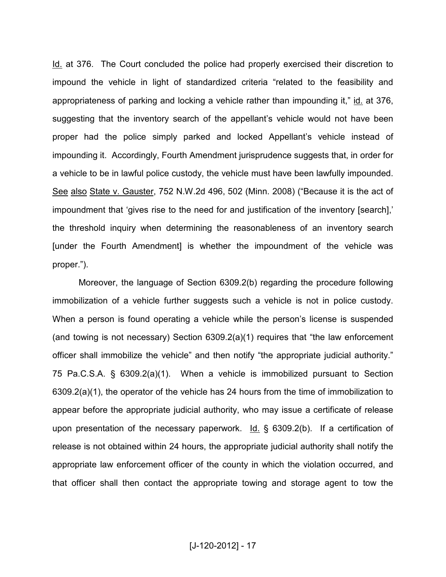Id. at 376. The Court concluded the police had properly exercised their discretion to impound the vehicle in light of standardized criteria "related to the feasibility and appropriateness of parking and locking a vehicle rather than impounding it," id. at 376, suggesting that the inventory search of the appellant's vehicle would not have been proper had the police simply parked and locked Appellant's vehicle instead of impounding it. Accordingly, Fourth Amendment jurisprudence suggests that, in order for a vehicle to be in lawful police custody, the vehicle must have been lawfully impounded. See also State v. Gauster, 752 N.W.2d 496, 502 (Minn. 2008) ("Because it is the act of impoundment that 'gives rise to the need for and justification of the inventory [search],' the threshold inquiry when determining the reasonableness of an inventory search [under the Fourth Amendment] is whether the impoundment of the vehicle was proper.").

Moreover, the language of Section 6309.2(b) regarding the procedure following immobilization of a vehicle further suggests such a vehicle is not in police custody. When a person is found operating a vehicle while the person's license is suspended (and towing is not necessary) Section 6309.2(a)(1) requires that "the law enforcement officer shall immobilize the vehicle" and then notify "the appropriate judicial authority." 75 Pa.C.S.A. § 6309.2(a)(1). When a vehicle is immobilized pursuant to Section 6309.2(a)(1), the operator of the vehicle has 24 hours from the time of immobilization to appear before the appropriate judicial authority, who may issue a certificate of release upon presentation of the necessary paperwork. Id. § 6309.2(b). If a certification of release is not obtained within 24 hours, the appropriate judicial authority shall notify the appropriate law enforcement officer of the county in which the violation occurred, and that officer shall then contact the appropriate towing and storage agent to tow the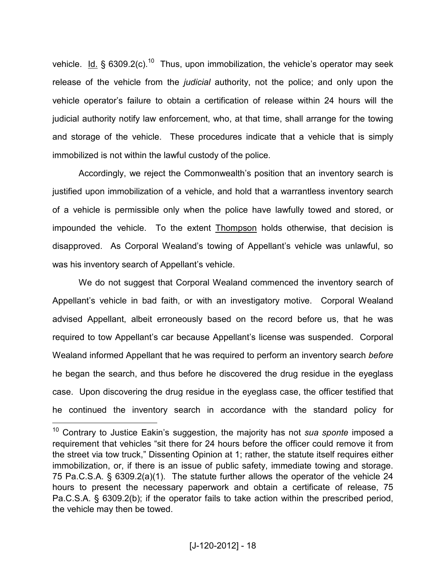vehicle. Id.  $\S$  6309.2(c).<sup>10</sup> Thus, upon immobilization, the vehicle's operator may seek release of the vehicle from the *judicial* authority, not the police; and only upon the vehicle operator's failure to obtain a certification of release within 24 hours will the judicial authority notify law enforcement, who, at that time, shall arrange for the towing and storage of the vehicle. These procedures indicate that a vehicle that is simply immobilized is not within the lawful custody of the police.

Accordingly, we reject the Commonwealth's position that an inventory search is justified upon immobilization of a vehicle, and hold that a warrantless inventory search of a vehicle is permissible only when the police have lawfully towed and stored, or impounded the vehicle. To the extent Thompson holds otherwise, that decision is disapproved. As Corporal Wealand's towing of Appellant's vehicle was unlawful, so was his inventory search of Appellant's vehicle.

We do not suggest that Corporal Wealand commenced the inventory search of Appellant's vehicle in bad faith, or with an investigatory motive. Corporal Wealand advised Appellant, albeit erroneously based on the record before us, that he was required to tow Appellant's car because Appellant's license was suspended. Corporal Wealand informed Appellant that he was required to perform an inventory search *before* he began the search, and thus before he discovered the drug residue in the eyeglass case. Upon discovering the drug residue in the eyeglass case, the officer testified that he continued the inventory search in accordance with the standard policy for

-

<sup>&</sup>lt;sup>10</sup> Contrary to Justice Eakin's suggestion, the majority has not *sua sponte* imposed a requirement that vehicles "sit there for 24 hours before the officer could remove it from the street via tow truck," Dissenting Opinion at 1; rather, the statute itself requires either immobilization, or, if there is an issue of public safety, immediate towing and storage. 75 Pa.C.S.A. § 6309.2(a)(1). The statute further allows the operator of the vehicle 24 hours to present the necessary paperwork and obtain a certificate of release, 75 Pa.C.S.A. § 6309.2(b); if the operator fails to take action within the prescribed period, the vehicle may then be towed.